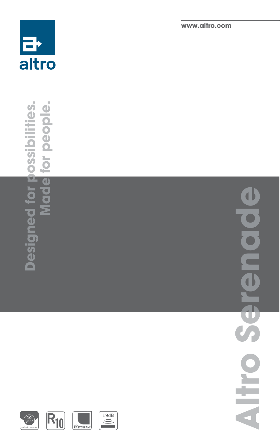

for people. **Designed for possibilities. Made for people. Designed for possibilities.** Made

**www.altro.com**

**Altro Serenade**  $\overline{\mathbf{0}}$ **Altro** 

 $\overline{\mathbf{C}}$ 





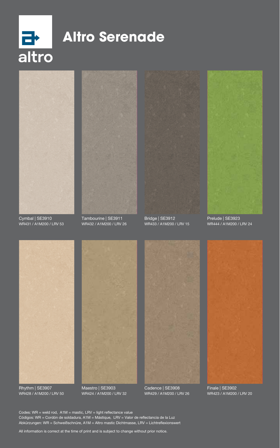

# **Altro Serenade**



Cymbal | SE3910 WR431 / A1M200 / LRV 53



Tambourine | SE3911 WR432 / A1M200 / LRV 26



Bridge | SE3912 WR433 / A1M200 / LRV 15



Prelude | SE3923 WR444 / A1M200 / LRV 24



Rhythm | SE3907 WR428 / A1M200 / LRV 50



Maestro | SE3903 WR424 / A1M200 / LRV 32



Cadence | SE3908 WR429 / A1M200 / LRV 26



Finale | SE3902 WR423 / A1M200 / LRV 20

Codes: WR = weld rod, A1M = mastic, LRV = light reflectance value Códigos: WR = Cordón de soldadura, A1M = Mástique, LRV = Valor de reflectancia de la Luz Abkürzungen: WR = Schweißschnüre, A1M = Altro mastic Dichtmasse, LRV = Lichtreflexionswert

All information is correct at the time of print and is subject to change without prior notice.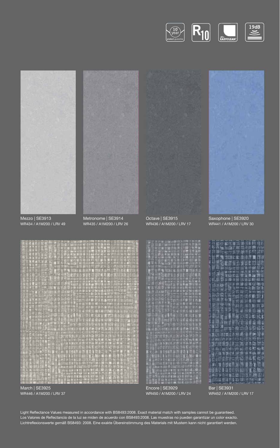



March | SE3925 WR446 / A1M200 / LRV 37

Encore | SE3929 WR450 / A1M200 / LRV 24

WR452 / A1M200 / LRV 17

Light Reflectance Values measured in accordance with BS8493:2008. Exact material match with samples cannot be guaranteed. Los Valores de Reflectancia de la luz se miden de acuerdo con BS8493:2008. Las muestras no pueden garantizar un color exacto. Lichtreflexionswerte gemäß BS8493: 2008. Eine exakte Übereinstimmung des Materials mit Mustern kann nicht garantiert werden.